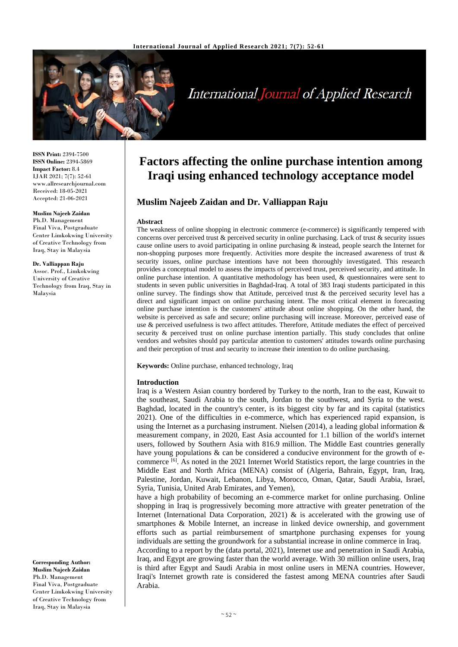

# **International Journal of Applied Research**

**ISSN Print:** 2394-7500 **ISSN Online:** 2394-5869 **Impact Factor:** 8.4 IJAR 2021; 7(7): 52-61 www.allresearchjournal.com Received: 18-05-2021 Accepted: 21-06-2021

#### **Muslim Najeeb Zaidan**

Ph.D. Management Final Viva, Postgraduate Center Limkokwing University of Creative Technology from Iraq, Stay in Malaysia

**Dr. Valliappan Raju** Assoc. Prof., Limkokwing University of Creative Technology from Iraq, Stay in Malaysia

**Factors affecting the online purchase intention among Iraqi using enhanced technology acceptance model**

## **Muslim Najeeb Zaidan and Dr. Valliappan Raju**

#### **Abstract**

The weakness of online shopping in electronic commerce (e-commerce) is significantly tempered with concerns over perceived trust  $\&$  perceived security in online purchasing. Lack of trust  $\&$  security issues cause online users to avoid participating in online purchasing & instead, people search the Internet for non-shopping purposes more frequently. Activities more despite the increased awareness of trust & security issues, online purchase intentions have not been thoroughly investigated. This research provides a conceptual model to assess the impacts of perceived trust, perceived security, and attitude. In online purchase intention. A quantitative methodology has been used, & questionnaires were sent to students in seven public universities in Baghdad-Iraq. A total of 383 Iraqi students participated in this online survey. The findings show that Attitude, perceived trust  $\&$  the perceived security level has a direct and significant impact on online purchasing intent. The most critical element in forecasting online purchase intention is the customers' attitude about online shopping. On the other hand, the website is perceived as safe and secure; online purchasing will increase. Moreover, perceived ease of use & perceived usefulness is two affect attitudes. Therefore, Attitude mediates the effect of perceived security & perceived trust on online purchase intention partially. This study concludes that online vendors and websites should pay particular attention to customers' attitudes towards online purchasing and their perception of trust and security to increase their intention to do online purchasing.

**Keywords:** Online purchase, enhanced technology, Iraq

#### **Introduction**

Iraq is a Western Asian country bordered by Turkey to the north, Iran to the east, Kuwait to the southeast, Saudi Arabia to the south, Jordan to the southwest, and Syria to the west. Baghdad, located in the country's center, is its biggest city by far and its capital (statistics 2021). One of the difficulties in e-commerce, which has experienced rapid expansion, is using the Internet as a purchasing instrument. Nielsen (2014), a leading global information  $\&$ measurement company, in 2020, East Asia accounted for 1.1 billion of the world's internet users, followed by Southern Asia with 816.9 million. The Middle East countries generally have young populations & can be considered a conducive environment for the growth of ecommerce  $^{[6]}$ . As noted in the 2021 Internet World Statistics report, the large countries in the Middle East and North Africa (MENA) consist of (Algeria, Bahrain, Egypt, Iran, Iraq, Palestine, Jordan, Kuwait, Lebanon, Libya, Morocco, Oman, Qatar, Saudi Arabia, Israel, Syria, Tunisia, United Arab Emirates, and Yemen),

have a high probability of becoming an e-commerce market for online purchasing. Online shopping in Iraq is progressively becoming more attractive with greater penetration of the Internet (International Data Corporation, 2021) & is accelerated with the growing use of smartphones & Mobile Internet, an increase in linked device ownership, and government efforts such as partial reimbursement of smartphone purchasing expenses for young individuals are setting the groundwork for a substantial increase in online commerce in Iraq. According to a report by the (data portal, 2021), Internet use and penetration in Saudi Arabia,

Iraq, and Egypt are growing faster than the world average. With 30 million online users, Iraq is third after Egypt and Saudi Arabia in most online users in MENA countries. However, Iraqi's Internet growth rate is considered the fastest among MENA countries after Saudi Arabia.

**Corresponding Author: Muslim Najeeb Zaidan** Ph.D. Management Final Viva, Postgraduate Center Limkokwing University of Creative Technology from Iraq, Stay in Malaysia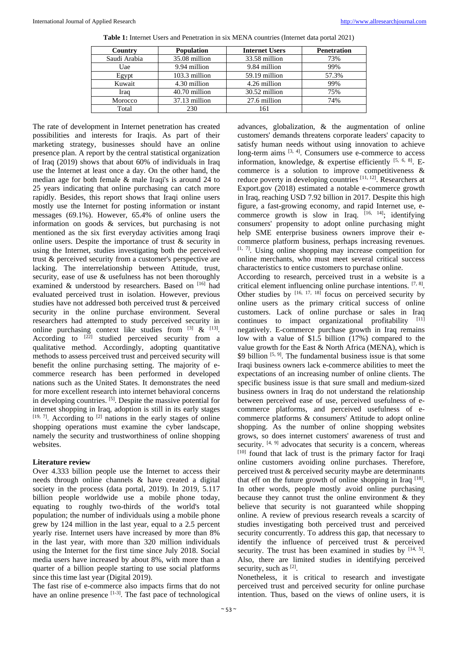| Country      | <b>Population</b> | <b>Internet Users</b> | <b>Penetration</b> |
|--------------|-------------------|-----------------------|--------------------|
| Saudi Arabia | 35.08 million     | 33.58 million         | 73%                |
| Uae          | 9.94 million      | 9.84 million          | 99%                |
| Egypt        | 103.3 million     | 59.19 million         | 57.3%              |
| Kuwait       | 4.30 million      | 4.26 million          | 99%                |
| Iraq         | 40.70 million     | 30.52 million         | 75%                |
| Morocco      | 37.13 million     | 27.6 million          | 74%                |
| Total        | 230               | 161                   |                    |

**Table 1:** Internet Users and Penetration in six MENA countries (Internet data portal 2021)

possibilities and interests for Iraqis. As part of their marketing strategy, businesses should have an online presence plan. A report by the central statistical organization of Iraq (2019) shows that about 60% of individuals in Iraq use the Internet at least once a day. On the other hand, the median age for both female & male Iraqi's is around 24 to 25 years indicating that online purchasing can catch more rapidly. Besides, this report shows that Iraqi online users mostly use the Internet for posting information or instant messages (69.1%). However, 65.4% of online users the information on goods & services, but purchasing is not mentioned as the six first everyday activities among Iraqi online users. Despite the importance of trust & security in using the Internet, studies investigating both the perceived trust & perceived security from a customer's perspective are lacking. The interrelationship between Attitude, trust, security, ease of use & usefulness has not been thoroughly examined & understood by researchers. Based on [16] had evaluated perceived trust in isolation. However, previous studies have not addressed both perceived trust & perceived security in the online purchase environment. Several researchers had attempted to study perceived security in online purchasing context like studies from  $^{[3]}$  &  $^{[13]}$ . According to  $[22]$  studied perceived security from a qualitative method. Accordingly, adopting quantitative methods to assess perceived trust and perceived security will benefit the online purchasing setting. The majority of ecommerce research has been performed in developed nations such as the United States. It demonstrates the need for more excellent research into internet behavioral concerns in developing countries. <sup>[5]</sup>. Despite the massive potential for internet shopping in Iraq, adoption is still in its early stages  $[19, 7]$ . According to  $[2]$  nations in the early stages of online shopping operations must examine the cyber landscape, namely the security and trustworthiness of online shopping websites.

The rate of development in Internet penetration has created

#### **Literature review**

Over 4.333 billion people use the Internet to access their needs through online channels & have created a digital society in the process (data portal, 2019). In 2019, 5.117 billion people worldwide use a mobile phone today, equating to roughly two-thirds of the world's total population; the number of individuals using a mobile phone grew by 124 million in the last year, equal to a 2.5 percent yearly rise. Internet users have increased by more than 8% in the last year, with more than 320 million individuals using the Internet for the first time since July 2018. Social media users have increased by about 8%, with more than a quarter of a billion people starting to use social platforms since this time last year (Digital 2019).

The fast rise of e-commerce also impacts firms that do not have an online presence  $[1-3]$ . The fast pace of technological

advances, globalization, & the augmentation of online customers' demands threatens corporate leaders' capacity to satisfy human needs without using innovation to achieve long-term aims  $[3, 4]$ . Consumers use e-commerce to access information, knowledge,  $\&$  expertise efficiently  $[5, 6, 8]$ . Ecommerce is a solution to improve competitiveness & reduce poverty in developing countries [11, 12]. Researchers at Export.gov (2018) estimated a notable e-commerce growth in Iraq, reaching USD 7.92 billion in 2017. Despite this high figure, a fast-growing economy, and rapid Internet use, ecommerce growth is slow in Iraq.  $[16, 14]$ ; identifying consumers' propensity to adopt online purchasing might help SME enterprise business owners improve their ecommerce platform business, perhaps increasing revenues.  $[1, 7]$ . Using online shopping may increase competition for online merchants, who must meet several critical success characteristics to entice customers to purchase online. According to research, perceived trust in a website is a critical element influencing online purchase intentions. [7, 8]. Other studies by  $[16, 17, 18]$  focus on perceived security by online users as the primary critical success of online customers. Lack of online purchase or sales in Iraq continues to impact organizational profitability  $[11]$ negatively. E-commerce purchase growth in Iraq remains low with a value of \$1.5 billion (17%) compared to the value growth for the East & North Africa (MENA), which is \$9 billion  $[5, 9]$ . The fundamental business issue is that some Iraqi business owners lack e-commerce abilities to meet the expectations of an increasing number of online clients. The specific business issue is that sure small and medium-sized business owners in Iraq do not understand the relationship between perceived ease of use, perceived usefulness of ecommerce platforms, and perceived usefulness of ecommerce platforms & consumers' Attitude to adopt online shopping. As the number of online shopping websites grows, so does internet customers' awareness of trust and security.  $[4, 9]$  advocates that security is a concern, whereas [10] found that lack of trust is the primary factor for Iraqi online customers avoiding online purchases. Therefore, perceived trust & perceived security maybe are determinants that eff on the future growth of online shopping in Iraq  $^{[18]}$ . In other words, people mostly avoid online purchasing because they cannot trust the online environment  $\&$  they

believe that security is not guaranteed while shopping online. A review of previous research reveals a scarcity of studies investigating both perceived trust and perceived security concurrently. To address this gap, that necessary to identify the influence of perceived trust & perceived security. The trust has been examined in studies by  $[14, 5]$ . Also, there are limited studies in identifying perceived security, such as  $^{[2]}$ .

Nonetheless, it is critical to research and investigate perceived trust and perceived security for online purchase intention. Thus, based on the views of online users, it is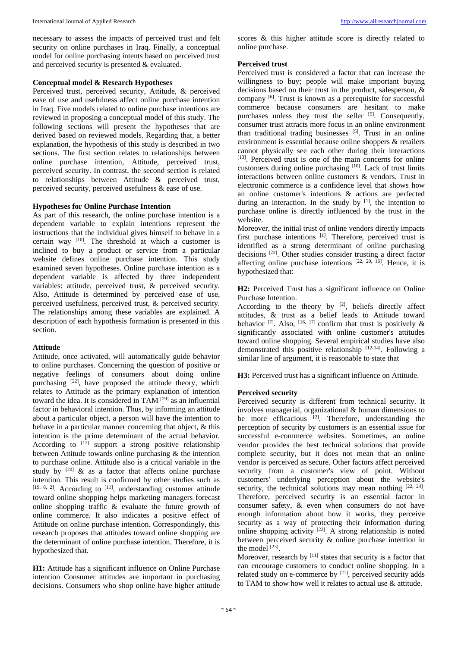necessary to assess the impacts of perceived trust and felt security on online purchases in Iraq. Finally, a conceptual model for online purchasing intents based on perceived trust and perceived security is presented & evaluated.

#### **Conceptual model & Research Hypotheses**

Perceived trust, perceived security, Attitude, & perceived ease of use and usefulness affect online purchase intention in Iraq. Five models related to online purchase intentions are reviewed in proposing a conceptual model of this study. The following sections will present the hypotheses that are derived based on reviewed models. Regarding that, a better explanation, the hypothesis of this study is described in two sections. The first section relates to relationships between online purchase intention, Attitude, perceived trust, perceived security. In contrast, the second section is related to relationships between Attitude & perceived trust, perceived security, perceived usefulness & ease of use.

#### **Hypotheses for Online Purchase Intention**

As part of this research, the online purchase intention is a dependent variable to explain intentions represent the instructions that the individual gives himself to behave in a certain way [10]. The threshold at which a customer is inclined to buy a product or service from a particular website defines online purchase intention. This study examined seven hypotheses. Online purchase intention as a dependent variable is affected by three independent variables: attitude, perceived trust, & perceived security. Also, Attitude is determined by perceived ease of use, perceived usefulness, perceived trust, & perceived security. The relationships among these variables are explained. A description of each hypothesis formation is presented in this section.

#### **Attitude**

Attitude, once activated, will automatically guide behavior to online purchases*.* Concerning the question of positive or negative feelings of consumers about doing online purchasing [22], have proposed the attitude theory, which relates to Attitude as the primary explanation of intention toward the idea. It is considered in  $TAM$  <sup>[29]</sup> as an influential factor in behavioral intention. Thus, by informing an attitude about a particular object, a person will have the intention to behave in a particular manner concerning that object, & this intention is the prime determinant of the actual behavior. According to  $[1\overline{2}]$  support a strong positive relationship between Attitude towards online purchasing & the intention to purchase online. Attitude also is a critical variable in the study by  $[20]$  & as a factor that affects online purchase intention. This result is confirmed by other studies such as  $[19, 8, 2]$ . According to  $[11]$ , understanding customer attitude toward online shopping helps marketing managers forecast online shopping traffic & evaluate the future growth of online commerce. It also indicates a positive effect of Attitude on online purchase intention. Correspondingly, this research proposes that attitudes toward online shopping are the determinant of online purchase intention. Therefore, it is hypothesized that.

**H1:** Attitude has a significant influence on Online Purchase intention Consumer attitudes are important in purchasing decisions. Consumers who shop online have higher attitude scores & this higher attitude score is directly related to online purchase.

## **Perceived trust**

Perceived trust is considered a factor that can increase the willingness to buy; people will make important buying decisions based on their trust in the product, salesperson, & company [6]. Trust is known as a prerequisite for successful commerce because consumers are hesitant to make purchases unless they trust the seller [5]. Consequently, consumer trust attracts more focus in an online environment than traditional trading businesses [5]. Trust in an online environment is essential because online shoppers & retailers cannot physically see each other during their interactions [13]. Perceived trust is one of the main concerns for online customers during online purchasing [10]. Lack of trust limits interactions between online customers & vendors. Trust in electronic commerce is a confidence level that shows how an online customer's intentions & actions are perfected during an interaction. In the study by  $[1]$ , the intention to purchase online is directly influenced by the trust in the website.

Moreover, the initial trust of online vendors directly impacts first purchase intentions [1]. Therefore, perceived trust is identified as a strong determinant of online purchasing decisions [22]. Other studies consider trusting a direct factor affecting online purchase intentions  $[22, 20, 16]$ . Hence, it is hypothesized that:

**H2:** Perceived Trust has a significant influence on Online Purchase Intention.

According to the theory by  $[2]$ , beliefs directly affect attitudes, & trust as a belief leads to Attitude toward behavior  $^{[7]}$ . Also,  $^{[16, 17]}$  confirm that trust is positively & significantly associated with online customer's attitudes toward online shopping. Several empirical studies have also demonstrated this positive relationship [12-14]. Following a similar line of argument, it is reasonable to state that

**H3:** Perceived trust has a significant influence on Attitude.

## **Perceived security**

Perceived security is different from technical security. It involves managerial, organizational & human dimensions to be more efficacious  $[2]$ . Therefore, understanding the perception of security by customers is an essential issue for successful e-commerce websites. Sometimes, an online vendor provides the best technical solutions that provide complete security, but it does not mean that an online vendor is perceived as secure. Other factors affect perceived security from a customer's view of point. Without customers' underlying perception about the website's security, the technical solutions may mean nothing [22, 24]. Therefore, perceived security is an essential factor in consumer safety, & even when consumers do not have enough information about how it works, they perceive security as a way of protecting their information during online shopping activity [22]. A strong relationship is noted between perceived security & online purchase intention in the model [23].

Moreover, research by [11] states that security is a factor that can encourage customers to conduct online shopping. In a related study on e-commerce by [21], perceived security adds to TAM to show how well it relates to actual use & attitude.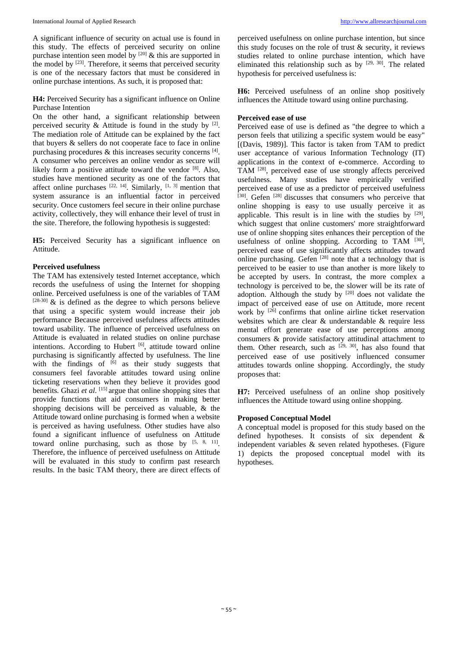A significant influence of security on actual use is found in this study. The effects of perceived security on online purchase intention seen model by  $[20]$  & this are supported in the model by  $[23]$ . Therefore, it seems that perceived security is one of the necessary factors that must be considered in online purchase intentions. As such, it is proposed that:

## **H4:** Perceived Security has a significant influence on Online Purchase Intention

On the other hand, a significant relationship between perceived security  $\&$  Attitude is found in the study by  $[2]$ . The mediation role of Attitude can be explained by the fact that buyers & sellers do not cooperate face to face in online purchasing procedures  $\&$  this increases security concerns  $^{[4]}$ . A consumer who perceives an online vendor as secure will likely form a positive attitude toward the vendor [8]. Also, studies have mentioned security as one of the factors that affect online purchases  $[22, 14]$ . Similarly,  $[1, 3]$  mention that system assurance is an influential factor in perceived security. Once customers feel secure in their online purchase activity, collectively, they will enhance their level of trust in the site. Therefore, the following hypothesis is suggested:

**H5:** Perceived Security has a significant influence on Attitude.

## **Perceived usefulness**

The TAM has extensively tested Internet acceptance, which records the usefulness of using the Internet for shopping online. Perceived usefulness is one of the variables of TAM  $[28-30]$  & is defined as the degree to which persons believe that using a specific system would increase their job performance Because perceived usefulness affects attitudes toward usability. The influence of perceived usefulness on Attitude is evaluated in related studies on online purchase intentions. According to Hubert [6], attitude toward online purchasing is significantly affected by usefulness. The line with the findings of  $\begin{bmatrix} 6 \end{bmatrix}$  as their study suggests that consumers feel favorable attitudes toward using online ticketing reservations when they believe it provides good benefits. Ghazi *et al*. [15] argue that online shopping sites that provide functions that aid consumers in making better shopping decisions will be perceived as valuable, & the Attitude toward online purchasing is formed when a website is perceived as having usefulness. Other studies have also found a significant influence of usefulness on Attitude toward online purchasing, such as those by  $[5, 8, 11]$ . Therefore, the influence of perceived usefulness on Attitude will be evaluated in this study to confirm past research results. In the basic TAM theory, there are direct effects of perceived usefulness on online purchase intention, but since this study focuses on the role of trust  $\&$  security, it reviews studies related to online purchase intention, which have eliminated this relationship such as by  $[29, 30]$ . The related hypothesis for perceived usefulness is:

**H6:** Perceived usefulness of an online shop positively influences the Attitude toward using online purchasing.

## **Perceived ease of use**

Perceived ease of use is defined as "the degree to which a person feels that utilizing a specific system would be easy" [(Davis, 1989)]. This factor is taken from TAM to predict user acceptance of various Information Technology (IT) applications in the context of e-commerce. According to TAM [28], perceived ease of use strongly affects perceived usefulness. Many studies have empirically verified perceived ease of use as a predictor of perceived usefulness [30]. Gefen [28] discusses that consumers who perceive that online shopping is easy to use usually perceive it as applicable. This result is in line with the studies by  $[29]$ , which suggest that online customers' more straightforward use of online shopping sites enhances their perception of the usefulness of online shopping. According to TAM  $[30]$ , perceived ease of use significantly affects attitudes toward online purchasing. Gefen [28] note that a technology that is perceived to be easier to use than another is more likely to be accepted by users. In contrast, the more complex a technology is perceived to be, the slower will be its rate of adoption. Although the study by <sup>[20]</sup> does not validate the impact of perceived ease of use on Attitude, more recent work by <sup>[26]</sup> confirms that online airline ticket reservation websites which are clear & understandable & require less mental effort generate ease of use perceptions among consumers & provide satisfactory attitudinal attachment to them. Other research, such as  $[29, 30]$ , has also found that perceived ease of use positively influenced consumer attitudes towards online shopping. Accordingly, the study proposes that:

**H7:** Perceived usefulness of an online shop positively influences the Attitude toward using online shopping*.*

## **Proposed Conceptual Model**

A conceptual model is proposed for this study based on the defined hypotheses. It consists of six dependent & independent variables & seven related hypotheses. (Figure 1) depicts the proposed conceptual model with its hypotheses.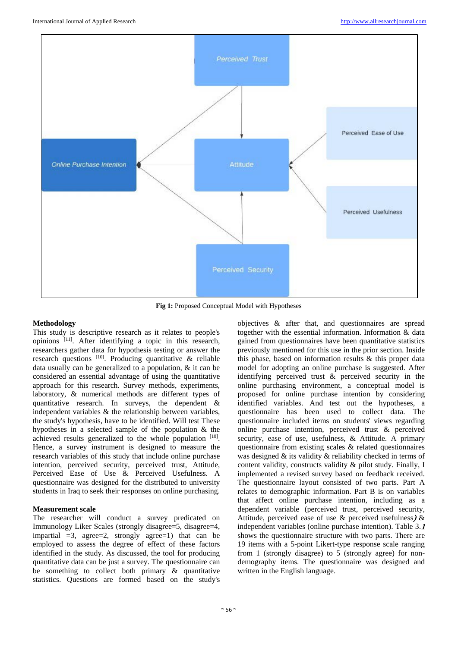

**Fig 1:** Proposed Conceptual Model with Hypotheses

## **Methodology**

This study is descriptive research as it relates to people's opinions [11]. After identifying a topic in this research, researchers gather data for hypothesis testing or answer the research questions [10]. Producing quantitative & reliable data usually can be generalized to a population, & it can be considered an essential advantage of using the quantitative approach for this research. Survey methods, experiments, laboratory, & numerical methods are different types of quantitative research. In surveys, the dependent & independent variables & the relationship between variables, the study's hypothesis, have to be identified. Will test These hypotheses in a selected sample of the population & the achieved results generalized to the whole population [10]. Hence, a survey instrument is designed to measure the research variables of this study that include online purchase intention, perceived security, perceived trust, Attitude, Perceived Ease of Use & Perceived Usefulness. A questionnaire was designed for the distributed to university students in Iraq to seek their responses on online purchasing.

## **Measurement scale**

The researcher will conduct a survey predicated on Immunology Liker Scales (strongly disagree=5, disagree=4, impartial  $=3$ , agree $=2$ , strongly agree $=1$ ) that can be employed to assess the degree of effect of these factors identified in the study. As discussed, the tool for producing quantitative data can be just a survey. The questionnaire can be something to collect both primary  $\&$  quantitative statistics. Questions are formed based on the study's

objectives & after that, and questionnaires are spread together with the essential information. Information & data gained from questionnaires have been quantitative statistics previously mentioned for this use in the prior section. Inside this phase, based on information results & this proper data model for adopting an online purchase is suggested. After identifying perceived trust & perceived security in the online purchasing environment, a conceptual model is proposed for online purchase intention by considering identified variables. And test out the hypotheses, a questionnaire has been used to collect data. The questionnaire included items on students' views regarding online purchase intention, perceived trust & perceived security, ease of use, usefulness, & Attitude. A primary questionnaire from existing scales & related questionnaires was designed & its validity & reliability checked in terms of content validity, constructs validity & pilot study. Finally, I implemented a revised survey based on feedback received. The questionnaire layout consisted of two parts. Part A relates to demographic information. Part B is on variables that affect online purchase intention, including as a dependent variable (perceived trust, perceived security, Attitude, perceived ease of use  $\&$  perceived usefulness)  $\&$ independent variables (online purchase intention). Table 3.<sup>1</sup> shows the questionnaire structure with two parts. There are 19 items with a 5-point Likert-type response scale ranging from 1 (strongly disagree) to 5 (strongly agree) for nondemography items. The questionnaire was designed and written in the English language.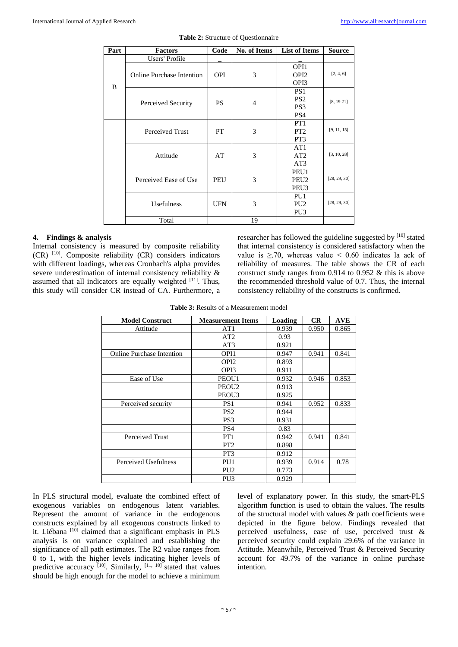| Part | <b>Factors</b>                   | Code       | No. of Items   | <b>List of Items</b> | <b>Source</b> |
|------|----------------------------------|------------|----------------|----------------------|---------------|
|      | Users' Profile                   |            |                |                      |               |
|      | <b>Online Purchase Intention</b> |            | 3              | OPI1                 |               |
|      |                                  | <b>OPI</b> |                | OPI <sub>2</sub>     | [2, 4, 6]     |
| B    |                                  |            |                | OPI3                 |               |
|      |                                  | <b>PS</b>  | $\overline{4}$ | PS <sub>1</sub>      |               |
|      | Perceived Security               |            |                | PS <sub>2</sub>      | [8, 1921]     |
|      |                                  |            |                | PS <sub>3</sub>      |               |
|      |                                  |            |                | PS <sub>4</sub>      |               |
|      | <b>Perceived Trust</b>           | PT         | 3              | PT <sub>1</sub>      |               |
|      |                                  |            |                | PT <sub>2</sub>      | [9, 11, 15]   |
|      |                                  |            |                | PT <sub>3</sub>      |               |
|      |                                  | AT         | 3              | AT1                  |               |
|      | Attitude                         |            |                | AT2                  | [3, 10, 28]   |
|      |                                  |            |                | AT3                  |               |
|      |                                  |            |                | PEU1                 |               |
|      | Perceived Ease of Use            | PEU        | 3              | PEU <sub>2</sub>     | [28, 29, 30]  |
|      |                                  |            |                | PEU <sub>3</sub>     |               |
|      |                                  | <b>UFN</b> | 3              | PU1                  |               |
|      | Usefulness                       |            |                | PU <sub>2</sub>      | [28, 29, 30]  |
|      |                                  |            |                | PU <sub>3</sub>      |               |
|      | Total                            |            | 19             |                      |               |

| <b>Table 2:</b> Structure of Questionnaire |  |
|--------------------------------------------|--|
|--------------------------------------------|--|

## **4. Findings & analysis**

Internal consistency is measured by composite reliability (CR) [10]. Composite reliability (CR) considers indicators with different loadings, whereas Cronbach's alpha provides severe underestimation of internal consistency reliability & assumed that all indicators are equally weighted [11]. Thus, this study will consider CR instead of CA. Furthermore, a researcher has followed the guideline suggested by [10] stated that internal consistency is considered satisfactory when the value is  $\geq$  70, whereas value < 0.60 indicates la ack of reliability of measures. The table shows the CR of each construct study ranges from 0.914 to 0.952 & this is above the recommended threshold value of 0.7. Thus, the internal consistency reliability of the constructs is confirmed.

**Table 3:** Results of a Measurement model

| <b>Model Construct</b>           | <b>Measurement Items</b> | Loading | CR    | <b>AVE</b> |
|----------------------------------|--------------------------|---------|-------|------------|
| Attitude                         | AT <sub>1</sub>          | 0.939   | 0.950 | 0.865      |
|                                  | AT2                      | 0.93    |       |            |
|                                  | AT3                      | 0.921   |       |            |
| <b>Online Purchase Intention</b> | OPI1                     | 0.947   | 0.941 | 0.841      |
|                                  | OPI <sub>2</sub>         | 0.893   |       |            |
|                                  | OPI3                     | 0.911   |       |            |
| Ease of Use                      | PEOU1                    | 0.932   | 0.946 | 0.853      |
|                                  | PEOU <sub>2</sub>        | 0.913   |       |            |
|                                  | PEOU <sub>3</sub>        | 0.925   |       |            |
| Perceived security               | PS <sub>1</sub>          | 0.941   | 0.952 | 0.833      |
|                                  | PS <sub>2</sub>          | 0.944   |       |            |
|                                  | PS <sub>3</sub>          | 0.931   |       |            |
|                                  | PS <sub>4</sub>          | 0.83    |       |            |
| <b>Perceived Trust</b>           | PT1                      | 0.942   | 0.941 | 0.841      |
|                                  | PT <sub>2</sub>          | 0.898   |       |            |
|                                  | PT <sub>3</sub>          | 0.912   |       |            |
| Perceived Usefulness             | PU <sub>1</sub>          | 0.939   | 0.914 | 0.78       |
|                                  | PU <sub>2</sub>          | 0.773   |       |            |
|                                  | PU <sub>3</sub>          | 0.929   |       |            |

In PLS structural model, evaluate the combined effect of exogenous variables on endogenous latent variables. Represent the amount of variance in the endogenous constructs explained by all exogenous constructs linked to it. Liébana <sup>[10]</sup> claimed that a significant emphasis in PLS analysis is on variance explained and establishing the significance of all path estimates. The R2 value ranges from 0 to 1, with the higher levels indicating higher levels of predictive accuracy  $\begin{bmatrix} 10 \\ 0 \end{bmatrix}$ . Similarly,  $\begin{bmatrix} 11 \\ 10 \end{bmatrix}$  stated that values should be high enough for the model to achieve a minimum

level of explanatory power. In this study, the smart-PLS algorithm function is used to obtain the values. The results of the structural model with values & path coefficients were depicted in the figure below. Findings revealed that perceived usefulness, ease of use, perceived trust & perceived security could explain 29.6% of the variance in Attitude. Meanwhile, Perceived Trust & Perceived Security account for 49.7% of the variance in online purchase intention.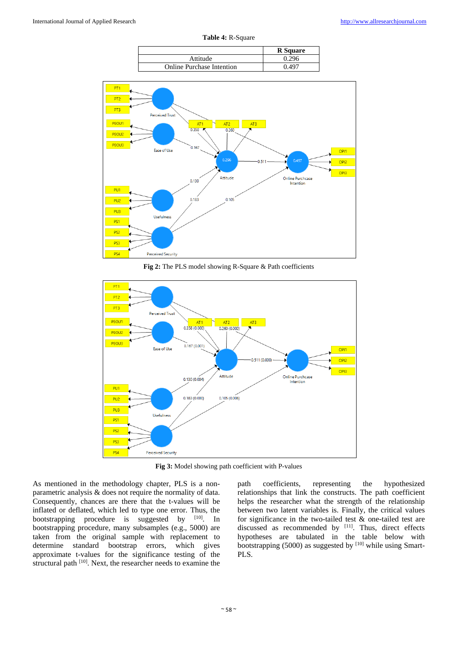**Table 4:** R-Square

|                                  | <b>R</b> Square |
|----------------------------------|-----------------|
| Attitude                         | 0.296           |
| <b>Online Purchase Intention</b> | በ 497           |



**Fig 2:** The PLS model showing R-Square & Path coefficients



**Fig 3:** Model showing path coefficient with P-values

As mentioned in the methodology chapter, PLS is a nonparametric analysis & does not require the normality of data. Consequently, chances are there that the t-values will be inflated or deflated, which led to type one error. Thus, the bootstrapping procedure is suggested by [10]. In bootstrapping procedure, many subsamples (e.g., 5000) are taken from the original sample with replacement to determine standard bootstrap errors, which gives approximate t-values for the significance testing of the structural path <sup>[10]</sup>. Next, the researcher needs to examine the

path coefficients, representing the hypothesized relationships that link the constructs. The path coefficient helps the researcher what the strength of the relationship between two latent variables is. Finally, the critical values for significance in the two-tailed test & one-tailed test are discussed as recommended by  $[11]$ . Thus, direct effects hypotheses are tabulated in the table below with bootstrapping (5000) as suggested by  $[10]$  while using Smart-PLS.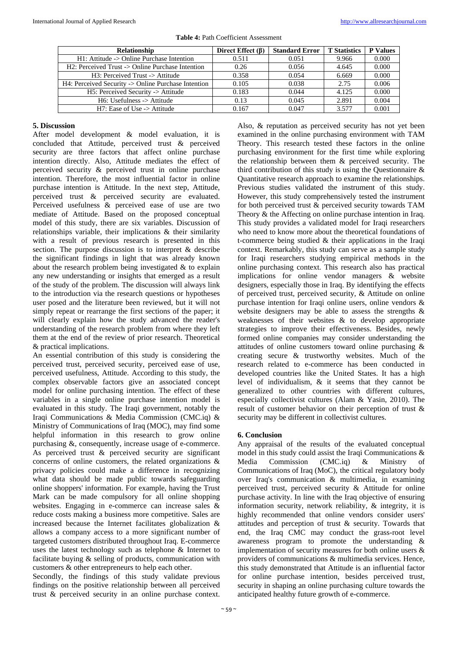| <b>Relationship</b>                                            | Direct Effect $(\beta)$ | <b>Standard Error</b> | <b>T</b> Statistics | <b>P</b> Values |
|----------------------------------------------------------------|-------------------------|-----------------------|---------------------|-----------------|
| $H1$ : Attitude -> Online Purchase Intention                   | 0.511                   | 0.051                 | 9.966               | 0.000           |
| $H2$ : Perceived Trust $\rightarrow$ Online Purchase Intention | 0.26                    | 0.056                 | 4.645               | 0.000           |
| $H3$ : Perceived Trust $\rightarrow$ Attitude                  | 0.358                   | 0.054                 | 6.669               | 0.000           |
| H4: Perceived Security -> Online Purchase Intention            | 0.105                   | 0.038                 | 2.75                | 0.006           |
| H5: Perceived Security -> Attitude                             | 0.183                   | 0.044                 | 4.125               | 0.000           |
| $H6:$ Usefulness $\rightarrow$ Attitude                        | 0.13                    | 0.045                 | 2.891               | 0.004           |
| $H7$ : Ease of Use -> Attitude                                 | 0.167                   | 0.047                 | 3.577               | 0.001           |

| <b>Table 4: Path Coefficient Assessment</b> |  |
|---------------------------------------------|--|
|---------------------------------------------|--|

## **5. Discussion**

After model development & model evaluation, it is concluded that Attitude, perceived trust & perceived security are three factors that affect online purchase intention directly. Also, Attitude mediates the effect of perceived security & perceived trust in online purchase intention. Therefore, the most influential factor in online purchase intention is Attitude. In the next step, Attitude, perceived trust & perceived security are evaluated. Perceived usefulness & perceived ease of use are two mediate of Attitude. Based on the proposed conceptual model of this study, there are six variables. Discussion of relationships variable, their implications & their similarity with a result of previous research is presented in this section. The purpose discussion is to interpret & describe the significant findings in light that was already known about the research problem being investigated & to explain any new understanding or insights that emerged as a result of the study of the problem. The discussion will always link to the introduction via the research questions or hypotheses user posed and the literature been reviewed, but it will not simply repeat or rearrange the first sections of the paper; it will clearly explain how the study advanced the reader's understanding of the research problem from where they left them at the end of the review of prior research. Theoretical & practical implications.

An essential contribution of this study is considering the perceived trust, perceived security, perceived ease of use, perceived usefulness, Attitude. According to this study, the complex observable factors give an associated concept model for online purchasing intention. The effect of these variables in a single online purchase intention model is evaluated in this study. The Iraqi government, notably the Iraqi Communications & Media Commission (CMC.iq) & Ministry of Communications of Iraq (MOC), may find some helpful information in this research to grow online purchasing &, consequently, increase usage of e-commerce. As perceived trust & perceived security are significant concerns of online customers, the related organizations & privacy policies could make a difference in recognizing what data should be made public towards safeguarding online shoppers' information. For example, having the Trust Mark can be made compulsory for all online shopping websites. Engaging in e-commerce can increase sales & reduce costs making a business more competitive. Sales are increased because the Internet facilitates globalization & allows a company access to a more significant number of targeted customers distributed throughout Iraq. E-commerce uses the latest technology such as telephone & Internet to facilitate buying & selling of products, communication with customers & other entrepreneurs to help each other.

Secondly, the findings of this study validate previous findings on the positive relationship between all perceived trust & perceived security in an online purchase context.

Also, & reputation as perceived security has not yet been examined in the online purchasing environment with TAM Theory. This research tested these factors in the online purchasing environment for the first time while exploring the relationship between them & perceived security. The third contribution of this study is using the Questionnaire & Quantitative research approach to examine the relationships. Previous studies validated the instrument of this study. However, this study comprehensively tested the instrument for both perceived trust & perceived security towards TAM Theory & the Affecting on online purchase intention in Iraq. This study provides a validated model for Iraqi researchers who need to know more about the theoretical foundations of t-commerce being studied & their applications in the Iraqi context. Remarkably, this study can serve as a sample study for Iraqi researchers studying empirical methods in the online purchasing context. This research also has practical implications for online vendor managers & website designers, especially those in Iraq. By identifying the effects of perceived trust, perceived security, & Attitude on online purchase intention for Iraqi online users, online vendors & website designers may be able to assess the strengths & weaknesses of their websites & to develop appropriate strategies to improve their effectiveness. Besides, newly formed online companies may consider understanding the attitudes of online customers toward online purchasing & creating secure & trustworthy websites. Much of the research related to e-commerce has been conducted in developed countries like the United States. It has a high level of individualism, & it seems that they cannot be generalized to other countries with different cultures, especially collectivist cultures (Alam & Yasin, 2010). The result of customer behavior on their perception of trust & security may be different in collectivist cultures.

## **6. Conclusion**

Any appraisal of the results of the evaluated conceptual model in this study could assist the Iraqi Communications & Media Commission (CMC.iq) & Ministry of Communications of Iraq (MoC), the critical regulatory body over Iraq's communication & multimedia, in examining perceived trust, perceived security & Attitude for online purchase activity. In line with the Iraq objective of ensuring information security, network reliability, & integrity, it is highly recommended that online vendors consider users' attitudes and perception of trust & security. Towards that end, the Iraq CMC may conduct the grass-root level awareness program to promote the understanding & implementation of security measures for both online users & providers of communications & multimedia services. Hence, this study demonstrated that Attitude is an influential factor for online purchase intention, besides perceived trust, security in shaping an online purchasing culture towards the anticipated healthy future growth of e-commerce.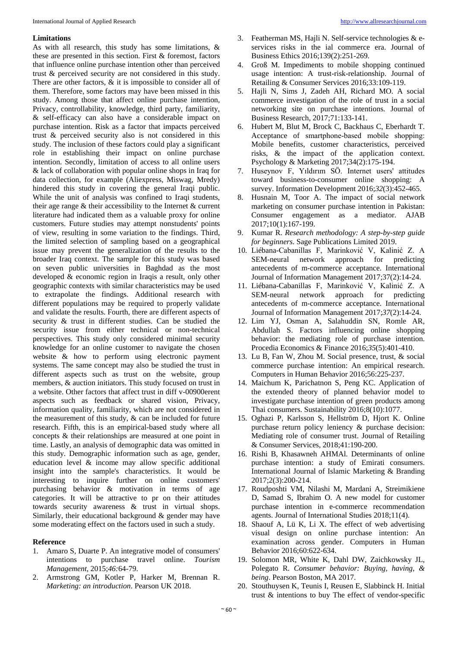## **Limitations**

As with all research, this study has some limitations, & these are presented in this section. First & foremost, factors that influence online purchase intention other than perceived trust & perceived security are not considered in this study. There are other factors, & it is impossible to consider all of them. Therefore, some factors may have been missed in this study. Among those that affect online purchase intention, Privacy, controllability, knowledge, third party, familiarity, & self-efficacy can also have a considerable impact on purchase intention. Risk as a factor that impacts perceived trust & perceived security also is not considered in this study. The inclusion of these factors could play a significant role in establishing their impact on online purchase intention. Secondly, limitation of access to all online users & lack of collaboration with popular online shops in Iraq for data collection, for example (Aliexpress, Miswag, Mredy) hindered this study in covering the general Iraqi public. While the unit of analysis was confined to Iraqi students, their age range & their accessibility to the Internet & current literature had indicated them as a valuable proxy for online customers. Future studies may attempt nonstudents' points of view, resulting in some variation to the findings. Third, the limited selection of sampling based on a geographical issue may prevent the generalization of the results to the broader Iraq context. The sample for this study was based on seven public universities in Baghdad as the most developed & economic region in Iraqis a result, only other geographic contexts with similar characteristics may be used to extrapolate the findings. Additional research with different populations may be required to properly validate and validate the results. Fourth, there are different aspects of security & trust in different studies. Can be studied the security issue from either technical or non-technical perspectives. This study only considered minimal security knowledge for an online customer to navigate the chosen website & how to perform using electronic payment systems. The same concept may also be studied the trust in different aspects such as trust on the website, group members, & auction initiators. This study focused on trust in a website. Other factors that affect trust in diff v-00900erent aspects such as feedback or shared vision, Privacy, information quality, familiarity, which are not considered in the measurement of this study, & can be included for future research. Fifth, this is an empirical-based study where all concepts & their relationships are measured at one point in time. Lastly, an analysis of demographic data was omitted in this study. Demographic information such as age, gender, education level & income may allow specific additional insight into the sample's characteristics. It would be interesting to inquire further on online customers' purchasing behavior & motivation in terms of age categories. It will be attractive to pr on their attitudes towards security awareness & trust in virtual shops. Similarly, their educational background & gender may have some moderating effect on the factors used in such a study.

#### **Reference**

- 1. Amaro S, Duarte P. An integrative model of consumers' intentions to purchase travel online. *Tourism Management*, 2015;*46:*64-79.
- 2. Armstrong GM, Kotler P, Harker M, Brennan R. *Marketing: an introduction*. Pearson UK 2018.
- 3. Featherman MS, Hajli N. Self-service technologies & eservices risks in the ial commerce era. Journal of Business Ethics 2016;139(2):251-269.
- 4. Groß M. Impediments to mobile shopping continued usage intention: A trust-risk-relationship. Journal of Retailing & Consumer Services 2016;33:109-119.
- 5. Hajli N, Sims J, Zadeh AH, Richard MO. A social commerce investigation of the role of trust in a social networking site on purchase intentions. Journal of Business Research, 2017;71:133-141.
- 6. Hubert M, Blut M, Brock C, Backhaus C, Eberhardt T. Acceptance of smartphone‐based mobile shopping: Mobile benefits, customer characteristics, perceived risks, & the impact of the application context. Psychology & Marketing 2017;34(2):175-194.
- 7. Huseynov F, Yıldırım SÖ. Internet users' attitudes toward business-to-consumer online shopping: A survey. Information Development 2016;*32*(3):452-465.
- 8. Husnain M, Toor A. The impact of social network marketing on consumer purchase intention in Pakistan: Consumer engagement as a mediator. AJAB 2017;10(1):167-199.
- 9. Kumar R. *Research methodology: A step-by-step guide for beginners*. Sage Publications Limited 2019.
- 10. Liébana-Cabanillas F, Marinković V, Kalinić Z. A SEM-neural network approach for predicting antecedents of m-commerce acceptance. International Journal of Information Management 2017;37(2):14-24.
- 11. Liébana-Cabanillas F, Marinković V, Kalinić Z. A SEM-neural network approach for predicting antecedents of m-commerce acceptance. International Journal of Information Management 2017;*37*(2):14-24.
- 12. Lim YJ, Osman A, Salahuddin SN, Romle AR, Abdullah S. Factors influencing online shopping behavior: the mediating role of purchase intention. Procedia Economics & Finance 2016;*35*(5):401-410.
- 13. Lu B, Fan W, Zhou M. Social presence, trust, & social commerce purchase intention: An empirical research. Computers in Human Behavior 2016;56:225-237.
- 14. Maichum K, Parichatnon S, Peng KC. Application of the extended theory of planned behavior model to investigate purchase intention of green products among Thai consumers. Sustainability 2016;8(10):1077.
- 15. Oghazi P, Karlsson S, Hellström D, Hjort K. Online purchase return policy leniency & purchase decision: Mediating role of consumer trust. Journal of Retailing & Consumer Services, 2018;41:190-200.
- 16. Rishi B, Khasawneh AHMAl. Determinants of online purchase intention: a study of Emirati consumers. International Journal of Islamic Marketing & Branding 2017;2(3):200-214.
- 17. Roudposhti VM, Nilashi M, Mardani A, Streimikiene D, Samad S, Ibrahim O. A new model for customer purchase intention in e-commerce recommendation agents. Journal of International Studies 2018;11(4).
- 18. Shaouf A, Lü K, Li X. The effect of web advertising visual design on online purchase intention: An examination across gender. Computers in Human Behavior 2016;60:622-634.
- 19. Solomon MR, White K, Dahl DW, Zaichkowsky JL, Polegato R. *Consumer behavior: Buying, having, & being*. Pearson Boston, MA 2017.
- 20. Stouthuysen K, Teunis I, Reusen E, Slabbinck H. Initial trust & intentions to buy The effect of vendor-specific